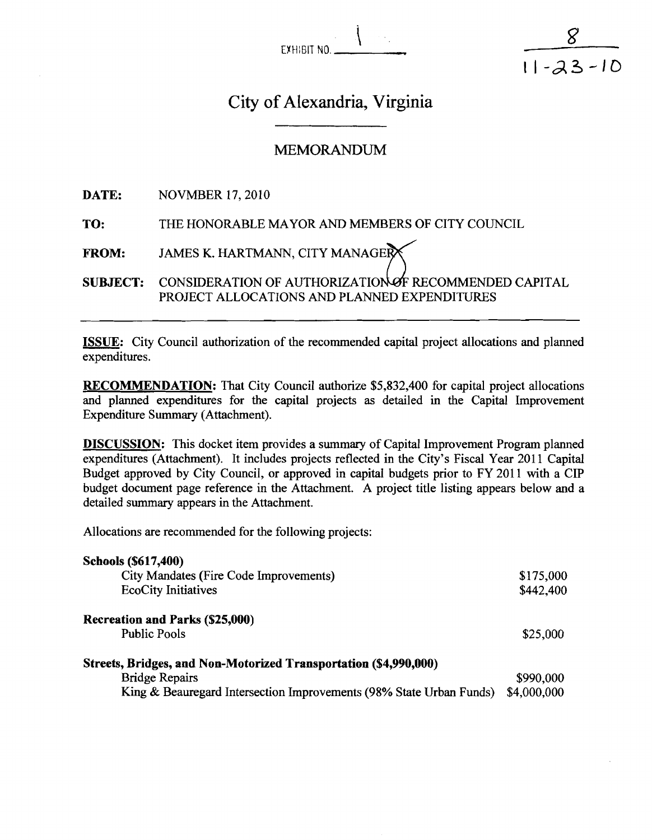exhibit no. <u>1</u>

 $11 - 23 - 10$ 

# City of Alexandria, Virginia

## **MEMORANDUM**

**DATE:** NOVMBER 17, 2010

TO: THE HONORABLE MAYOR AND MEMBERS OF CITY COUNCIL

FROM: JAMES K. HARTMANN, CITY MANAGER

SUBJECT: CONSIDERATION OF AUTHORIZATION OF RECOMMENDED CAPITAL PROJECT ALLOCATIONS AND PLANNED EXPENDITURES

ISSUE: City Council authorization of the recommended capital project allocations and planned expenditures.

RECOMMENDATION: That City Council authorize \$5,832,400 for capital project allocations and planned expenditures for the capital projects as detailed in the Capital Improvement Expenditure Summary (Attachment).

DISCUSSION: This docket item provides a summary of Capital Improvement Program planned expenditures (Attachment). It includes projects reflected in the City's Fiscal Year 2011 Capital Budget approved by City Council, or approved in capital budgets prior to FY 2011 with a CIP budget document page reference in the Attachment. A project title listing appears below and a detailed summary appears in the Attachment.

Allocations are recommended for the following projects:

| <b>Schools (\$617,400)</b>                                          |             |
|---------------------------------------------------------------------|-------------|
| City Mandates (Fire Code Improvements)                              | \$175,000   |
| <b>EcoCity Initiatives</b>                                          | \$442,400   |
| Recreation and Parks (\$25,000)                                     |             |
| <b>Public Pools</b>                                                 | \$25,000    |
| Streets, Bridges, and Non-Motorized Transportation (\$4,990,000)    |             |
| <b>Bridge Repairs</b>                                               | \$990,000   |
| King & Beauregard Intersection Improvements (98% State Urban Funds) | \$4,000,000 |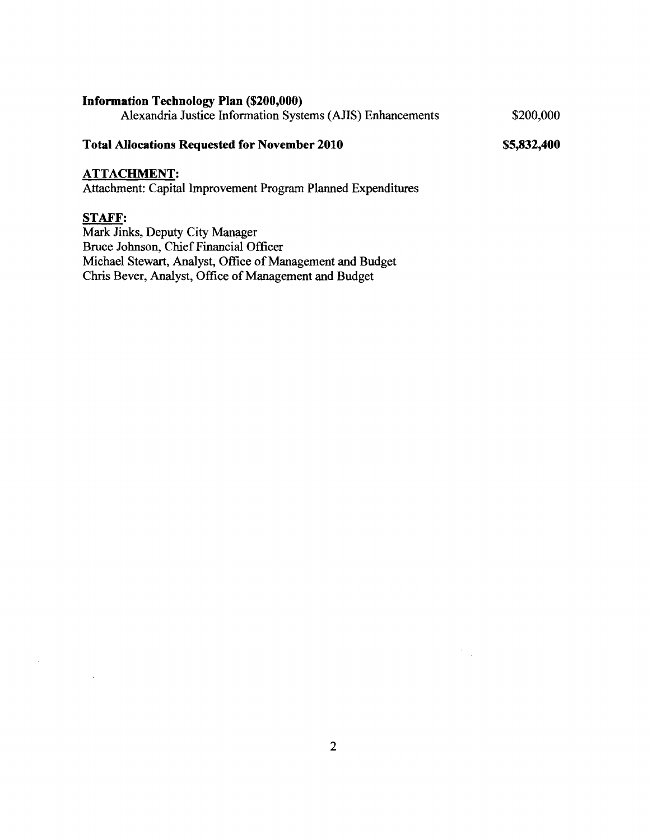#### **Information Technology Plan (\$200,000)**

Alexandria Justice Information Systems (AJIS) Enhancements \$200,000

#### **Total Allocations Requested for November 2010**

\$5,832,400

#### **ATTACHMENT:**

Attachment: Capital Improvement Program Planned Expenditures

## **STAFF:**

 $\mathcal{A}^{\mathcal{A}}$ 

 $\mathcal{A}$ 

Mark Jinks, Deputy City Manager Bruce Johnson, Chief Financial Officer Michael Stewart, Analyst, Office of Management and Budget Chris Bever, Analyst, Office of Management and Budget

 $\frac{1}{2} \frac{1}{2}$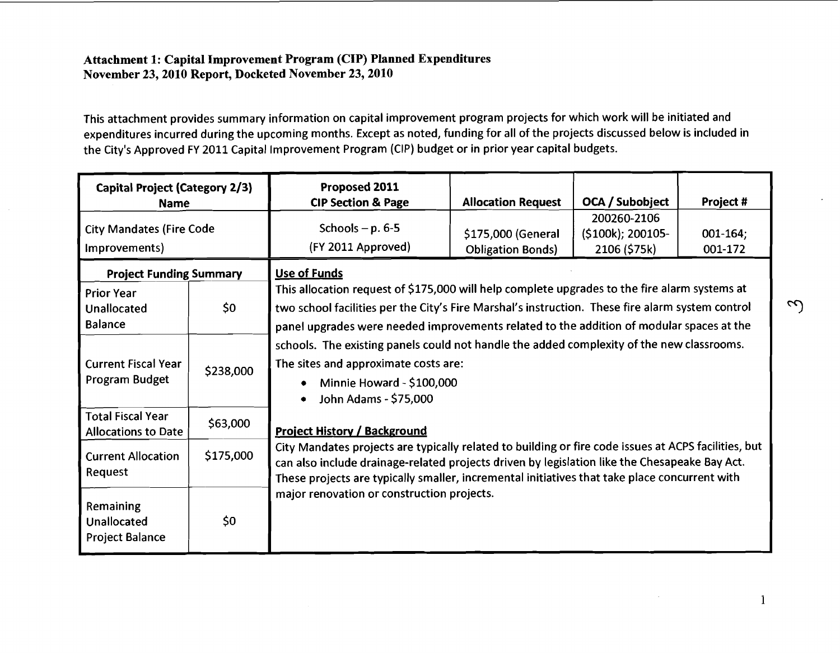#### **Attachment 1: Capital Improvement Program (CIP) Planned Expenditures November 23,2010 Report, Docketed November 23,2010**

This attachment provides summary information on capital improvement program projects for which work will be initiated and expenditures incurred during the upcoming months. Except as noted, funding for all of the projects discussed below is included in the City's Approved FY 2011 Capital Improvement Program (CIP) budget or in prior year capital budgets.

| <b>Capital Project (Category 2/3)</b><br><b>Name</b>                                        |           | Proposed 2011<br><b>CIP Section &amp; Page</b>                                                                                                                                                                                                                                                                                                                                              | <b>Allocation Request</b>                      | OCA / Subobject                                  | Project #                |  |  |
|---------------------------------------------------------------------------------------------|-----------|---------------------------------------------------------------------------------------------------------------------------------------------------------------------------------------------------------------------------------------------------------------------------------------------------------------------------------------------------------------------------------------------|------------------------------------------------|--------------------------------------------------|--------------------------|--|--|
| <b>City Mandates (Fire Code</b><br>Improvements)                                            |           | Schools $-p.6-5$<br>(FY 2011 Approved)                                                                                                                                                                                                                                                                                                                                                      | \$175,000 (General<br><b>Obligation Bonds)</b> | 200260-2106<br>(\$100k); 200105-<br>2106 (\$75k) | $001 - 164$ ;<br>001-172 |  |  |
| <b>Project Funding Summary</b><br><b>Prior Year</b><br>\$0<br>Unallocated<br><b>Balance</b> |           | <b>Use of Funds</b><br>This allocation request of \$175,000 will help complete upgrades to the fire alarm systems at<br>two school facilities per the City's Fire Marshal's instruction. These fire alarm system control<br>panel upgrades were needed improvements related to the addition of modular spaces at the                                                                        |                                                |                                                  |                          |  |  |
| <b>Current Fiscal Year</b><br>Program Budget                                                | \$238,000 | schools. The existing panels could not handle the added complexity of the new classrooms.<br>The sites and approximate costs are:<br>Minnie Howard - \$100,000<br>John Adams - \$75,000                                                                                                                                                                                                     |                                                |                                                  |                          |  |  |
| <b>Total Fiscal Year</b><br><b>Allocations to Date</b>                                      | \$63,000  | <b>Project History / Background</b><br>City Mandates projects are typically related to building or fire code issues at ACPS facilities, but<br>can also include drainage-related projects driven by legislation like the Chesapeake Bay Act.<br>These projects are typically smaller, incremental initiatives that take place concurrent with<br>major renovation or construction projects. |                                                |                                                  |                          |  |  |
| <b>Current Allocation</b><br>Request                                                        | \$175,000 |                                                                                                                                                                                                                                                                                                                                                                                             |                                                |                                                  |                          |  |  |
| Remaining<br>Unallocated<br><b>Project Balance</b>                                          | \$0       |                                                                                                                                                                                                                                                                                                                                                                                             |                                                |                                                  |                          |  |  |

 $\mathbf{1}$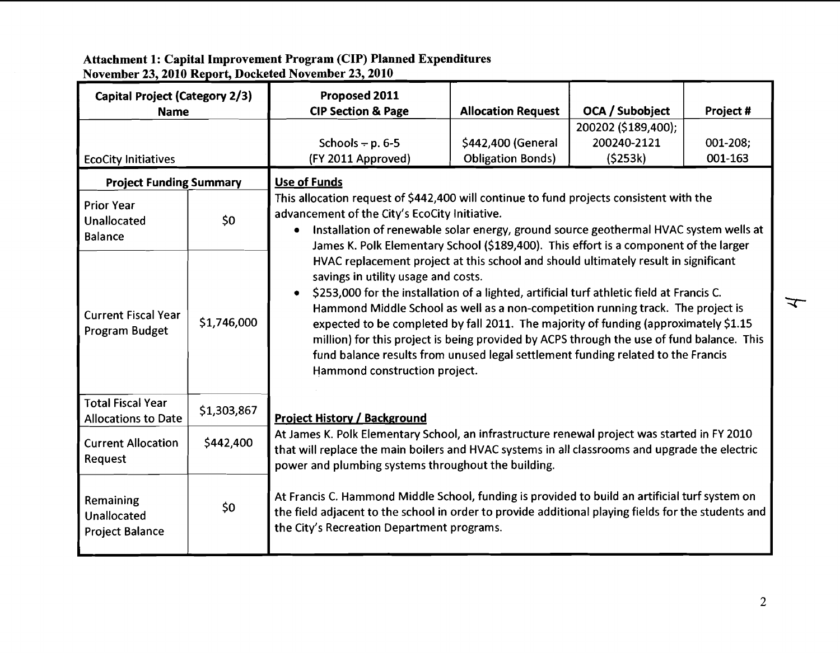**Attachment 1: Capital Improven November 23,2010 Report, Dock nt Program (CIP) Planned Expenditures :ed November 23,2010** 

| Capital Project (Category 2/3)<br><b>Name</b>             |             | Proposed 2011<br><b>CIP Section &amp; Page</b>                                                                                                                                                                                                                                                                                                                                                                                                                                                                                                                                                                                     | <b>Allocation Request</b>                      | OCA / Subobject                               | Project #           |  |  |  |
|-----------------------------------------------------------|-------------|------------------------------------------------------------------------------------------------------------------------------------------------------------------------------------------------------------------------------------------------------------------------------------------------------------------------------------------------------------------------------------------------------------------------------------------------------------------------------------------------------------------------------------------------------------------------------------------------------------------------------------|------------------------------------------------|-----------------------------------------------|---------------------|--|--|--|
| <b>EcoCity Initiatives</b>                                |             | Schools $- p. 6-5$<br>(FY 2011 Approved)                                                                                                                                                                                                                                                                                                                                                                                                                                                                                                                                                                                           | \$442,400 (General<br><b>Obligation Bonds)</b> | 200202 (\$189,400);<br>200240-2121<br>(5253k) | 001-208;<br>001-163 |  |  |  |
| <b>Project Funding Summary</b>                            |             | Use of Funds                                                                                                                                                                                                                                                                                                                                                                                                                                                                                                                                                                                                                       |                                                |                                               |                     |  |  |  |
| <b>Prior Year</b><br><b>Unallocated</b><br><b>Balance</b> | \$0         | This allocation request of \$442,400 will continue to fund projects consistent with the<br>advancement of the City's EcoCity Initiative.<br>Installation of renewable solar energy, ground source geothermal HVAC system wells at<br>$\bullet$<br>James K. Polk Elementary School (\$189,400). This effort is a component of the larger                                                                                                                                                                                                                                                                                            |                                                |                                               |                     |  |  |  |
| <b>Current Fiscal Year</b><br>Program Budget              | \$1,746,000 | HVAC replacement project at this school and should ultimately result in significant<br>savings in utility usage and costs.<br>\$253,000 for the installation of a lighted, artificial turf athletic field at Francis C.<br>$\bullet$<br>Hammond Middle School as well as a non-competition running track. The project is<br>expected to be completed by fall 2011. The majority of funding (approximately \$1.15<br>million) for this project is being provided by ACPS through the use of fund balance. This<br>fund balance results from unused legal settlement funding related to the Francis<br>Hammond construction project. |                                                |                                               |                     |  |  |  |
| <b>Total Fiscal Year</b><br><b>Allocations to Date</b>    | \$1,303,867 | <b>Project History / Background</b>                                                                                                                                                                                                                                                                                                                                                                                                                                                                                                                                                                                                |                                                |                                               |                     |  |  |  |
| <b>Current Allocation</b><br>Request                      | \$442,400   | At James K. Polk Elementary School, an infrastructure renewal project was started in FY 2010<br>that will replace the main boilers and HVAC systems in all classrooms and upgrade the electric<br>power and plumbing systems throughout the building.                                                                                                                                                                                                                                                                                                                                                                              |                                                |                                               |                     |  |  |  |
| Remaining<br>Unallocated<br><b>Project Balance</b>        | \$0         | At Francis C. Hammond Middle School, funding is provided to build an artificial turf system on<br>the field adjacent to the school in order to provide additional playing fields for the students and<br>the City's Recreation Department programs.                                                                                                                                                                                                                                                                                                                                                                                |                                                |                                               |                     |  |  |  |

 $\overline{\mathbf{r}}$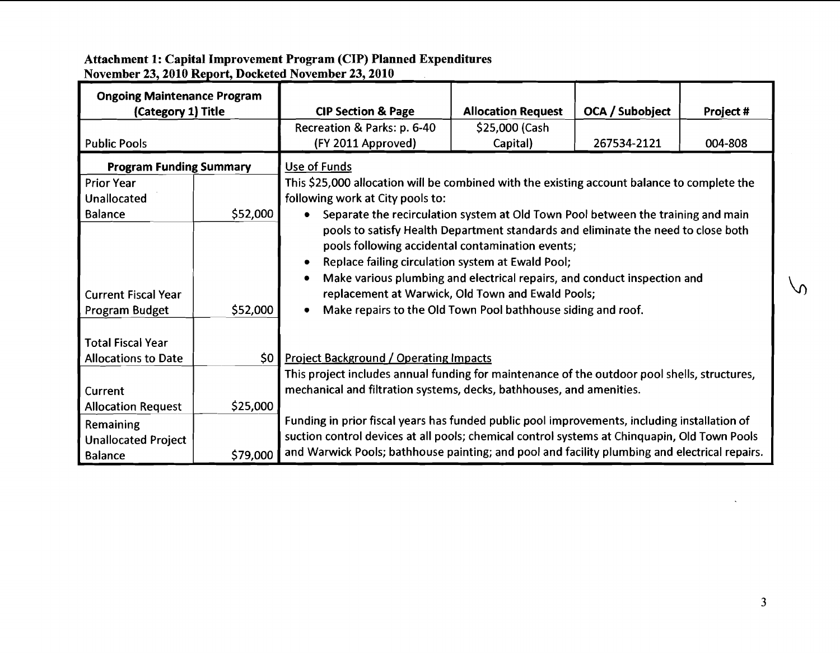| Attachment 1: Capital Improvement Program (CIP) Planned Expenditures<br>November 23, 2010 Report, Docketed November 23, 2010<br><b>Ongoing Maintenance Program</b><br>(Category 1) Title<br><b>OCA / Subobject</b><br><b>CIP Section &amp; Page</b><br><b>Allocation Request</b><br>Project #<br>Recreation & Parks: p. 6-40<br>\$25,000 (Cash<br>(FY 2011 Approved)<br>267534-2121<br>004-808<br>Capital)<br><b>Program Funding Summary</b><br>Use of Funds<br>This \$25,000 allocation will be combined with the existing account balance to complete the<br>following work at City pools to:<br>\$52,000<br>• Separate the recirculation system at Old Town Pool between the training and main<br>pools to satisfy Health Department standards and eliminate the need to close both<br>pools following accidental contamination events;<br>Replace failing circulation system at Ewald Pool;<br>Make various plumbing and electrical repairs, and conduct inspection and<br>$\sqrt{ }$<br>replacement at Warwick, Old Town and Ewald Pools;<br>Current Fiscal Year<br>\$52,000<br>• Make repairs to the Old Town Pool bathhouse siding and roof.<br>\$0 Project Background / Operating Impacts<br>This project includes annual funding for maintenance of the outdoor pool shells, structures,<br>mechanical and filtration systems, decks, bathhouses, and amenities.<br><b>Allocation Request</b><br>\$25,000<br>Funding in prior fiscal years has funded public pool improvements, including installation of<br>suction control devices at all pools; chemical control systems at Chinquapin, Old Town Pools<br>\$79,000 and Warwick Pools; bathhouse painting; and pool and facility plumbing and electrical repairs.<br>Balance<br>$\overline{\mathbf{3}}$ |                                              |  |  |  |
|--------------------------------------------------------------------------------------------------------------------------------------------------------------------------------------------------------------------------------------------------------------------------------------------------------------------------------------------------------------------------------------------------------------------------------------------------------------------------------------------------------------------------------------------------------------------------------------------------------------------------------------------------------------------------------------------------------------------------------------------------------------------------------------------------------------------------------------------------------------------------------------------------------------------------------------------------------------------------------------------------------------------------------------------------------------------------------------------------------------------------------------------------------------------------------------------------------------------------------------------------------------------------------------------------------------------------------------------------------------------------------------------------------------------------------------------------------------------------------------------------------------------------------------------------------------------------------------------------------------------------------------------------------------------------------------------------------------------------------------------------------------------|----------------------------------------------|--|--|--|
|                                                                                                                                                                                                                                                                                                                                                                                                                                                                                                                                                                                                                                                                                                                                                                                                                                                                                                                                                                                                                                                                                                                                                                                                                                                                                                                                                                                                                                                                                                                                                                                                                                                                                                                                                                    |                                              |  |  |  |
|                                                                                                                                                                                                                                                                                                                                                                                                                                                                                                                                                                                                                                                                                                                                                                                                                                                                                                                                                                                                                                                                                                                                                                                                                                                                                                                                                                                                                                                                                                                                                                                                                                                                                                                                                                    |                                              |  |  |  |
|                                                                                                                                                                                                                                                                                                                                                                                                                                                                                                                                                                                                                                                                                                                                                                                                                                                                                                                                                                                                                                                                                                                                                                                                                                                                                                                                                                                                                                                                                                                                                                                                                                                                                                                                                                    |                                              |  |  |  |
|                                                                                                                                                                                                                                                                                                                                                                                                                                                                                                                                                                                                                                                                                                                                                                                                                                                                                                                                                                                                                                                                                                                                                                                                                                                                                                                                                                                                                                                                                                                                                                                                                                                                                                                                                                    |                                              |  |  |  |
|                                                                                                                                                                                                                                                                                                                                                                                                                                                                                                                                                                                                                                                                                                                                                                                                                                                                                                                                                                                                                                                                                                                                                                                                                                                                                                                                                                                                                                                                                                                                                                                                                                                                                                                                                                    |                                              |  |  |  |
|                                                                                                                                                                                                                                                                                                                                                                                                                                                                                                                                                                                                                                                                                                                                                                                                                                                                                                                                                                                                                                                                                                                                                                                                                                                                                                                                                                                                                                                                                                                                                                                                                                                                                                                                                                    |                                              |  |  |  |
|                                                                                                                                                                                                                                                                                                                                                                                                                                                                                                                                                                                                                                                                                                                                                                                                                                                                                                                                                                                                                                                                                                                                                                                                                                                                                                                                                                                                                                                                                                                                                                                                                                                                                                                                                                    |                                              |  |  |  |
|                                                                                                                                                                                                                                                                                                                                                                                                                                                                                                                                                                                                                                                                                                                                                                                                                                                                                                                                                                                                                                                                                                                                                                                                                                                                                                                                                                                                                                                                                                                                                                                                                                                                                                                                                                    |                                              |  |  |  |
|                                                                                                                                                                                                                                                                                                                                                                                                                                                                                                                                                                                                                                                                                                                                                                                                                                                                                                                                                                                                                                                                                                                                                                                                                                                                                                                                                                                                                                                                                                                                                                                                                                                                                                                                                                    |                                              |  |  |  |
|                                                                                                                                                                                                                                                                                                                                                                                                                                                                                                                                                                                                                                                                                                                                                                                                                                                                                                                                                                                                                                                                                                                                                                                                                                                                                                                                                                                                                                                                                                                                                                                                                                                                                                                                                                    |                                              |  |  |  |
|                                                                                                                                                                                                                                                                                                                                                                                                                                                                                                                                                                                                                                                                                                                                                                                                                                                                                                                                                                                                                                                                                                                                                                                                                                                                                                                                                                                                                                                                                                                                                                                                                                                                                                                                                                    |                                              |  |  |  |
|                                                                                                                                                                                                                                                                                                                                                                                                                                                                                                                                                                                                                                                                                                                                                                                                                                                                                                                                                                                                                                                                                                                                                                                                                                                                                                                                                                                                                                                                                                                                                                                                                                                                                                                                                                    |                                              |  |  |  |
|                                                                                                                                                                                                                                                                                                                                                                                                                                                                                                                                                                                                                                                                                                                                                                                                                                                                                                                                                                                                                                                                                                                                                                                                                                                                                                                                                                                                                                                                                                                                                                                                                                                                                                                                                                    |                                              |  |  |  |
|                                                                                                                                                                                                                                                                                                                                                                                                                                                                                                                                                                                                                                                                                                                                                                                                                                                                                                                                                                                                                                                                                                                                                                                                                                                                                                                                                                                                                                                                                                                                                                                                                                                                                                                                                                    |                                              |  |  |  |
|                                                                                                                                                                                                                                                                                                                                                                                                                                                                                                                                                                                                                                                                                                                                                                                                                                                                                                                                                                                                                                                                                                                                                                                                                                                                                                                                                                                                                                                                                                                                                                                                                                                                                                                                                                    |                                              |  |  |  |
|                                                                                                                                                                                                                                                                                                                                                                                                                                                                                                                                                                                                                                                                                                                                                                                                                                                                                                                                                                                                                                                                                                                                                                                                                                                                                                                                                                                                                                                                                                                                                                                                                                                                                                                                                                    |                                              |  |  |  |
|                                                                                                                                                                                                                                                                                                                                                                                                                                                                                                                                                                                                                                                                                                                                                                                                                                                                                                                                                                                                                                                                                                                                                                                                                                                                                                                                                                                                                                                                                                                                                                                                                                                                                                                                                                    |                                              |  |  |  |
|                                                                                                                                                                                                                                                                                                                                                                                                                                                                                                                                                                                                                                                                                                                                                                                                                                                                                                                                                                                                                                                                                                                                                                                                                                                                                                                                                                                                                                                                                                                                                                                                                                                                                                                                                                    |                                              |  |  |  |
|                                                                                                                                                                                                                                                                                                                                                                                                                                                                                                                                                                                                                                                                                                                                                                                                                                                                                                                                                                                                                                                                                                                                                                                                                                                                                                                                                                                                                                                                                                                                                                                                                                                                                                                                                                    |                                              |  |  |  |
|                                                                                                                                                                                                                                                                                                                                                                                                                                                                                                                                                                                                                                                                                                                                                                                                                                                                                                                                                                                                                                                                                                                                                                                                                                                                                                                                                                                                                                                                                                                                                                                                                                                                                                                                                                    |                                              |  |  |  |
|                                                                                                                                                                                                                                                                                                                                                                                                                                                                                                                                                                                                                                                                                                                                                                                                                                                                                                                                                                                                                                                                                                                                                                                                                                                                                                                                                                                                                                                                                                                                                                                                                                                                                                                                                                    |                                              |  |  |  |
|                                                                                                                                                                                                                                                                                                                                                                                                                                                                                                                                                                                                                                                                                                                                                                                                                                                                                                                                                                                                                                                                                                                                                                                                                                                                                                                                                                                                                                                                                                                                                                                                                                                                                                                                                                    |                                              |  |  |  |
|                                                                                                                                                                                                                                                                                                                                                                                                                                                                                                                                                                                                                                                                                                                                                                                                                                                                                                                                                                                                                                                                                                                                                                                                                                                                                                                                                                                                                                                                                                                                                                                                                                                                                                                                                                    |                                              |  |  |  |
|                                                                                                                                                                                                                                                                                                                                                                                                                                                                                                                                                                                                                                                                                                                                                                                                                                                                                                                                                                                                                                                                                                                                                                                                                                                                                                                                                                                                                                                                                                                                                                                                                                                                                                                                                                    |                                              |  |  |  |
|                                                                                                                                                                                                                                                                                                                                                                                                                                                                                                                                                                                                                                                                                                                                                                                                                                                                                                                                                                                                                                                                                                                                                                                                                                                                                                                                                                                                                                                                                                                                                                                                                                                                                                                                                                    |                                              |  |  |  |
|                                                                                                                                                                                                                                                                                                                                                                                                                                                                                                                                                                                                                                                                                                                                                                                                                                                                                                                                                                                                                                                                                                                                                                                                                                                                                                                                                                                                                                                                                                                                                                                                                                                                                                                                                                    |                                              |  |  |  |
|                                                                                                                                                                                                                                                                                                                                                                                                                                                                                                                                                                                                                                                                                                                                                                                                                                                                                                                                                                                                                                                                                                                                                                                                                                                                                                                                                                                                                                                                                                                                                                                                                                                                                                                                                                    |                                              |  |  |  |
|                                                                                                                                                                                                                                                                                                                                                                                                                                                                                                                                                                                                                                                                                                                                                                                                                                                                                                                                                                                                                                                                                                                                                                                                                                                                                                                                                                                                                                                                                                                                                                                                                                                                                                                                                                    |                                              |  |  |  |
|                                                                                                                                                                                                                                                                                                                                                                                                                                                                                                                                                                                                                                                                                                                                                                                                                                                                                                                                                                                                                                                                                                                                                                                                                                                                                                                                                                                                                                                                                                                                                                                                                                                                                                                                                                    |                                              |  |  |  |
|                                                                                                                                                                                                                                                                                                                                                                                                                                                                                                                                                                                                                                                                                                                                                                                                                                                                                                                                                                                                                                                                                                                                                                                                                                                                                                                                                                                                                                                                                                                                                                                                                                                                                                                                                                    | <b>Public Pools</b><br><b>Prior Year</b>     |  |  |  |
|                                                                                                                                                                                                                                                                                                                                                                                                                                                                                                                                                                                                                                                                                                                                                                                                                                                                                                                                                                                                                                                                                                                                                                                                                                                                                                                                                                                                                                                                                                                                                                                                                                                                                                                                                                    | <b>Unallocated</b><br>Balance                |  |  |  |
|                                                                                                                                                                                                                                                                                                                                                                                                                                                                                                                                                                                                                                                                                                                                                                                                                                                                                                                                                                                                                                                                                                                                                                                                                                                                                                                                                                                                                                                                                                                                                                                                                                                                                                                                                                    |                                              |  |  |  |
|                                                                                                                                                                                                                                                                                                                                                                                                                                                                                                                                                                                                                                                                                                                                                                                                                                                                                                                                                                                                                                                                                                                                                                                                                                                                                                                                                                                                                                                                                                                                                                                                                                                                                                                                                                    | Program Budget<br>Total Fiscal Year          |  |  |  |
|                                                                                                                                                                                                                                                                                                                                                                                                                                                                                                                                                                                                                                                                                                                                                                                                                                                                                                                                                                                                                                                                                                                                                                                                                                                                                                                                                                                                                                                                                                                                                                                                                                                                                                                                                                    | <b>Allocations to Date</b><br><b>Current</b> |  |  |  |
|                                                                                                                                                                                                                                                                                                                                                                                                                                                                                                                                                                                                                                                                                                                                                                                                                                                                                                                                                                                                                                                                                                                                                                                                                                                                                                                                                                                                                                                                                                                                                                                                                                                                                                                                                                    | Remaining<br>Unallocated Project             |  |  |  |
|                                                                                                                                                                                                                                                                                                                                                                                                                                                                                                                                                                                                                                                                                                                                                                                                                                                                                                                                                                                                                                                                                                                                                                                                                                                                                                                                                                                                                                                                                                                                                                                                                                                                                                                                                                    |                                              |  |  |  |
|                                                                                                                                                                                                                                                                                                                                                                                                                                                                                                                                                                                                                                                                                                                                                                                                                                                                                                                                                                                                                                                                                                                                                                                                                                                                                                                                                                                                                                                                                                                                                                                                                                                                                                                                                                    |                                              |  |  |  |
|                                                                                                                                                                                                                                                                                                                                                                                                                                                                                                                                                                                                                                                                                                                                                                                                                                                                                                                                                                                                                                                                                                                                                                                                                                                                                                                                                                                                                                                                                                                                                                                                                                                                                                                                                                    |                                              |  |  |  |

#### **Attachment 1: Capital improve me^**  <u>November 23, 2010 Report, Dockete</u> <sup>t</sup>**Program (CIP) Planned Expenditures d November 23,2010**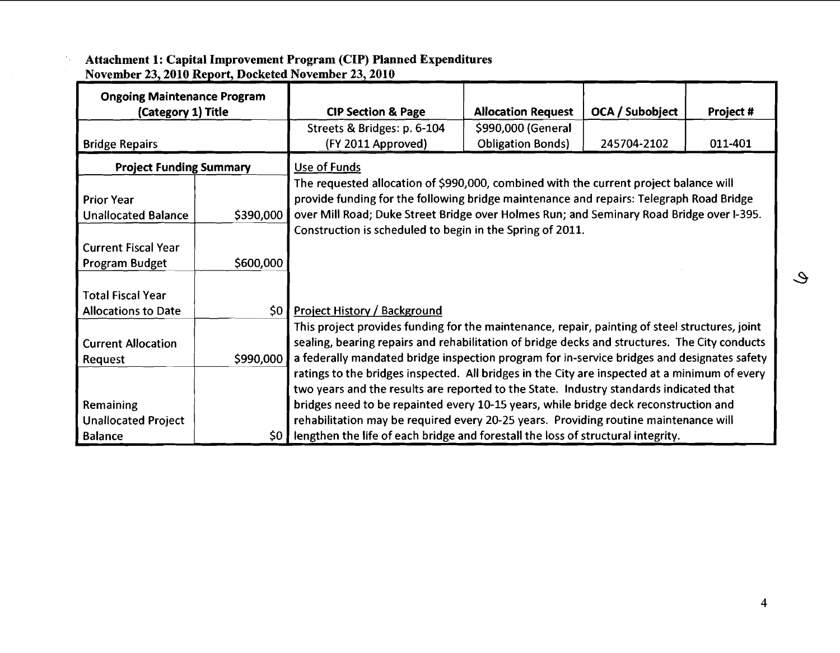| <b>Ongoing Maintenance Program</b> |                 |                                                                                                |                           |                 |           |  |  |
|------------------------------------|-----------------|------------------------------------------------------------------------------------------------|---------------------------|-----------------|-----------|--|--|
| (Category 1) Title                 |                 | <b>CIP Section &amp; Page</b>                                                                  | <b>Allocation Request</b> | OCA / Subobject | Project # |  |  |
|                                    |                 | Streets & Bridges: p. 6-104                                                                    | \$990,000 (General        |                 |           |  |  |
| <b>Bridge Repairs</b>              |                 | (FY 2011 Approved)                                                                             | <b>Obligation Bonds)</b>  | 245704-2102     | 011-401   |  |  |
| <b>Project Funding Summary</b>     |                 | Use of Funds                                                                                   |                           |                 |           |  |  |
|                                    |                 | The requested allocation of \$990,000, combined with the current project balance will          |                           |                 |           |  |  |
| <b>Prior Year</b>                  |                 | provide funding for the following bridge maintenance and repairs: Telegraph Road Bridge        |                           |                 |           |  |  |
| <b>Unallocated Balance</b>         | \$390,000       | over Mill Road; Duke Street Bridge over Holmes Run; and Seminary Road Bridge over I-395.       |                           |                 |           |  |  |
|                                    |                 | Construction is scheduled to begin in the Spring of 2011.                                      |                           |                 |           |  |  |
| <b>Current Fiscal Year</b>         |                 |                                                                                                |                           |                 |           |  |  |
| Program Budget                     | \$600,000       |                                                                                                |                           |                 |           |  |  |
|                                    |                 |                                                                                                |                           |                 |           |  |  |
| <b>Total Fiscal Year</b>           |                 |                                                                                                |                           |                 |           |  |  |
| <b>Allocations to Date</b>         | 50 <sub>1</sub> | <b>Project History / Background</b>                                                            |                           |                 |           |  |  |
|                                    |                 | This project provides funding for the maintenance, repair, painting of steel structures, joint |                           |                 |           |  |  |
| <b>Current Allocation</b>          |                 | sealing, bearing repairs and rehabilitation of bridge decks and structures. The City conducts  |                           |                 |           |  |  |
| Request                            | \$990,000       | a federally mandated bridge inspection program for in-service bridges and designates safety    |                           |                 |           |  |  |
|                                    |                 | ratings to the bridges inspected. All bridges in the City are inspected at a minimum of every  |                           |                 |           |  |  |
|                                    |                 | two years and the results are reported to the State. Industry standards indicated that         |                           |                 |           |  |  |
| Remaining                          |                 | bridges need to be repainted every 10-15 years, while bridge deck reconstruction and           |                           |                 |           |  |  |
| <b>Unallocated Project</b>         |                 | rehabilitation may be required every 20-25 years. Providing routine maintenance will           |                           |                 |           |  |  |
| <b>Balance</b>                     | 50              | lengthen the life of each bridge and forestall the loss of structural integrity.               |                           |                 |           |  |  |

#### **Attachment 1: Capital Improvement Program (CIP) Planned Expenditures November 23,2010**

 $\hat{\mathcal{C}}_t$ 

 $\mathcal{Q}$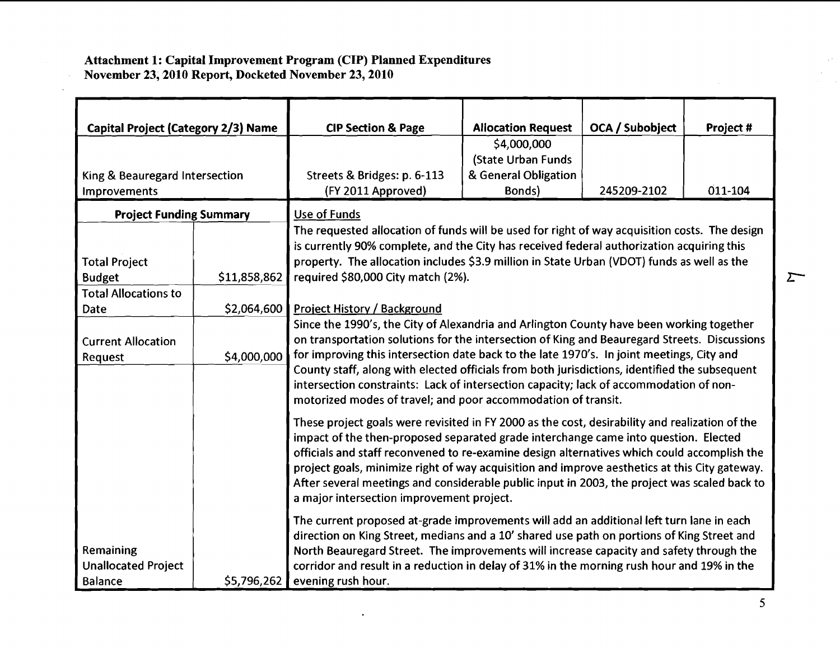#### **Attachment 1: Capital Improvement Program (CIP) Planned Expenditures November 23,2010 Report, Docketed November 23,2010**

| <b>Capital Project (Category 2/3) Name</b>                |              | <b>CIP Section &amp; Page</b>                                                                                                                                                                                                                                                                                                                                                                                                                                                                                                                     | <b>Aliocation Request</b> | OCA / Subobject | Project # |  |
|-----------------------------------------------------------|--------------|---------------------------------------------------------------------------------------------------------------------------------------------------------------------------------------------------------------------------------------------------------------------------------------------------------------------------------------------------------------------------------------------------------------------------------------------------------------------------------------------------------------------------------------------------|---------------------------|-----------------|-----------|--|
|                                                           |              |                                                                                                                                                                                                                                                                                                                                                                                                                                                                                                                                                   | \$4,000,000               |                 |           |  |
|                                                           |              |                                                                                                                                                                                                                                                                                                                                                                                                                                                                                                                                                   | (State Urban Funds        |                 |           |  |
| King & Beauregard Intersection                            |              | Streets & Bridges: p. 6-113                                                                                                                                                                                                                                                                                                                                                                                                                                                                                                                       | & General Obligation      |                 |           |  |
| Improvements                                              |              | (FY 2011 Approved)                                                                                                                                                                                                                                                                                                                                                                                                                                                                                                                                | Bonds)                    | 245209-2102     | 011-104   |  |
| <b>Project Funding Summary</b>                            |              | Use of Funds                                                                                                                                                                                                                                                                                                                                                                                                                                                                                                                                      |                           |                 |           |  |
|                                                           |              | The requested allocation of funds will be used for right of way acquisition costs. The design                                                                                                                                                                                                                                                                                                                                                                                                                                                     |                           |                 |           |  |
|                                                           |              | is currently 90% complete, and the City has received federal authorization acquiring this                                                                                                                                                                                                                                                                                                                                                                                                                                                         |                           |                 |           |  |
| <b>Total Project</b>                                      |              | property. The allocation includes \$3.9 million in State Urban (VDOT) funds as well as the                                                                                                                                                                                                                                                                                                                                                                                                                                                        |                           |                 |           |  |
| <b>Budget</b>                                             | \$11,858,862 | required \$80,000 City match (2%).                                                                                                                                                                                                                                                                                                                                                                                                                                                                                                                |                           |                 |           |  |
| <b>Total Allocations to</b>                               |              |                                                                                                                                                                                                                                                                                                                                                                                                                                                                                                                                                   |                           |                 |           |  |
| Date                                                      | \$2,064,600  | Project History / Background                                                                                                                                                                                                                                                                                                                                                                                                                                                                                                                      |                           |                 |           |  |
| <b>Current Allocation</b>                                 |              | Since the 1990's, the City of Alexandria and Arlington County have been working together<br>on transportation solutions for the intersection of King and Beauregard Streets. Discussions<br>for improving this intersection date back to the late 1970's. In joint meetings, City and<br>County staff, along with elected officials from both jurisdictions, identified the subsequent<br>intersection constraints: Lack of intersection capacity; lack of accommodation of non-<br>motorized modes of travel; and poor accommodation of transit. |                           |                 |           |  |
| Request                                                   | \$4,000,000  |                                                                                                                                                                                                                                                                                                                                                                                                                                                                                                                                                   |                           |                 |           |  |
|                                                           |              | These project goals were revisited in FY 2000 as the cost, desirability and realization of the<br>impact of the then-proposed separated grade interchange came into question. Elected<br>officials and staff reconvened to re-examine design alternatives which could accomplish the<br>project goals, minimize right of way acquisition and improve aesthetics at this City gateway.<br>After several meetings and considerable public input in 2003, the project was scaled back to<br>a major intersection improvement project.                |                           |                 |           |  |
| Remaining<br><b>Unallocated Project</b><br><b>Balance</b> | \$5,796,262  | The current proposed at-grade improvements will add an additional left turn lane in each<br>direction on King Street, medians and a 10' shared use path on portions of King Street and<br>North Beauregard Street. The improvements will increase capacity and safety through the<br>corridor and result in a reduction in delay of 31% in the morning rush hour and 19% in the<br>evening rush hour.                                                                                                                                             |                           |                 |           |  |

 $\Sigma$